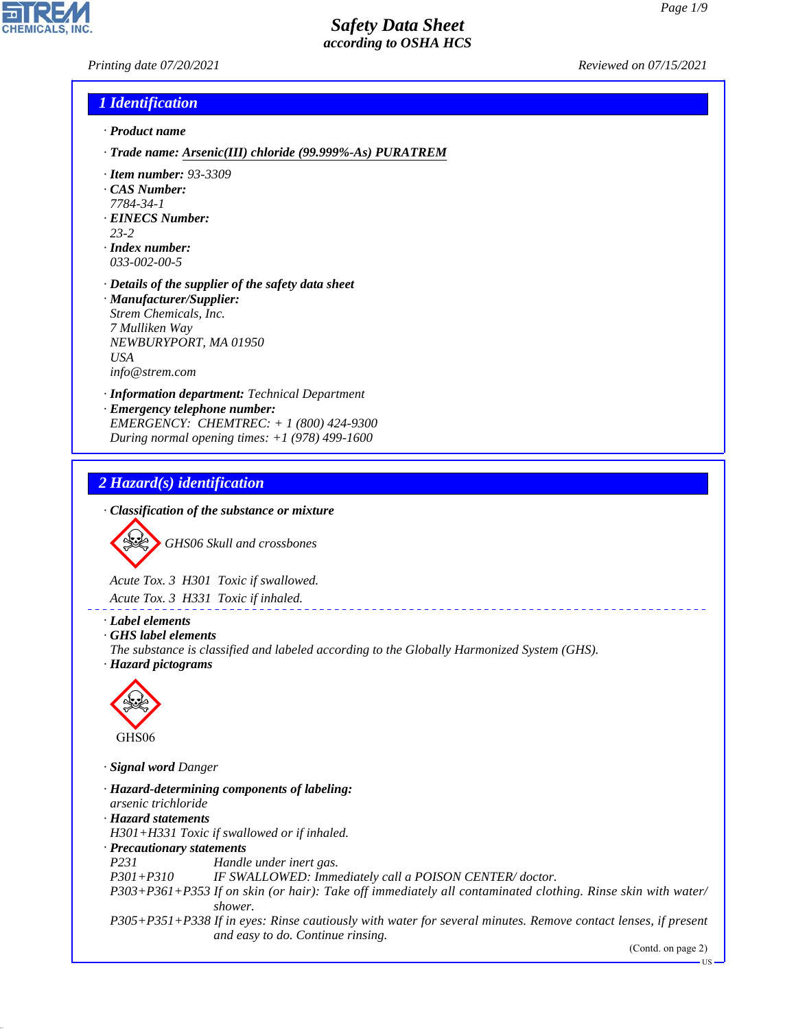*Printing date 07/20/2021 Reviewed on 07/15/2021*

# *1 Identification*

- *· Product name*
- *· Trade name: Arsenic(III) chloride (99.999%-As) PURATREM*
- *· Item number: 93-3309*
- *· CAS Number:*
- *7784-34-1*
- *· EINECS Number: 23-2*
- 
- *· Index number: 033-002-00-5*
- *· Details of the supplier of the safety data sheet · Manufacturer/Supplier:*
- *Strem Chemicals, Inc. 7 Mulliken Way NEWBURYPORT, MA 01950 USA info@strem.com*
- *· Information department: Technical Department*
- *· Emergency telephone number: EMERGENCY: CHEMTREC: + 1 (800) 424-9300 During normal opening times: +1 (978) 499-1600*

### *2 Hazard(s) identification*

*· Classification of the substance or mixture*

d~*GHS06 Skull and crossbones*

*Acute Tox. 3 H301 Toxic if swallowed. Acute Tox. 3 H331 Toxic if inhaled.*

*· Label elements*

*· GHS label elements*

*The substance is classified and labeled according to the Globally Harmonized System (GHS). · Hazard pictograms*



44.1.1

*· Signal word Danger*

*· Hazard-determining components of labeling: arsenic trichloride · Hazard statements H301+H331 Toxic if swallowed or if inhaled. · Precautionary statements P231 Handle under inert gas. P301+P310 IF SWALLOWED: Immediately call a POISON CENTER/ doctor. P303+P361+P353 If on skin (or hair): Take off immediately all contaminated clothing. Rinse skin with water/ shower. P305+P351+P338 If in eyes: Rinse cautiously with water for several minutes. Remove contact lenses, if present and easy to do. Continue rinsing.*

(Contd. on page 2)

US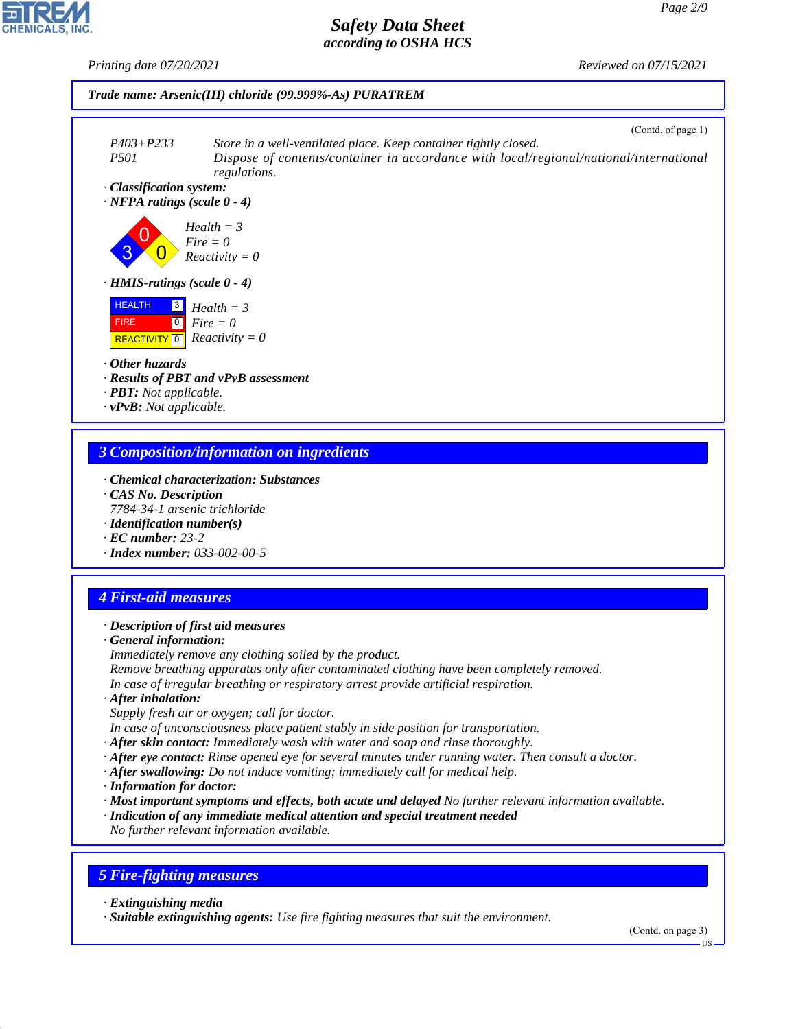*Printing date 07/20/2021 Reviewed on 07/15/2021*

*Page 2/9*





*· Other hazards*

- *· Results of PBT and vPvB assessment*
- *· PBT: Not applicable.*
- *· vPvB: Not applicable.*

# *3 Composition/information on ingredients*

- *· Chemical characterization: Substances*
- *· CAS No. Description*
- *7784-34-1 arsenic trichloride*
- *· Identification number(s)*
- *· EC number: 23-2*
- *· Index number: 033-002-00-5*

# *4 First-aid measures*

#### *· Description of first aid measures*

*· General information:*

*Immediately remove any clothing soiled by the product.*

- *Remove breathing apparatus only after contaminated clothing have been completely removed.*
- *In case of irregular breathing or respiratory arrest provide artificial respiration.*
- *· After inhalation:*

*Supply fresh air or oxygen; call for doctor.*

- *In case of unconsciousness place patient stably in side position for transportation.*
- *· After skin contact: Immediately wash with water and soap and rinse thoroughly.*
- *· After eye contact: Rinse opened eye for several minutes under running water. Then consult a doctor.*
- *· After swallowing: Do not induce vomiting; immediately call for medical help.*
- *· Information for doctor:*
- *· Most important symptoms and effects, both acute and delayed No further relevant information available.*
- *· Indication of any immediate medical attention and special treatment needed*

*No further relevant information available.*

# *5 Fire-fighting measures*

*· Extinguishing media*

44.1.1

*· Suitable extinguishing agents: Use fire fighting measures that suit the environment.*

(Contd. on page 3)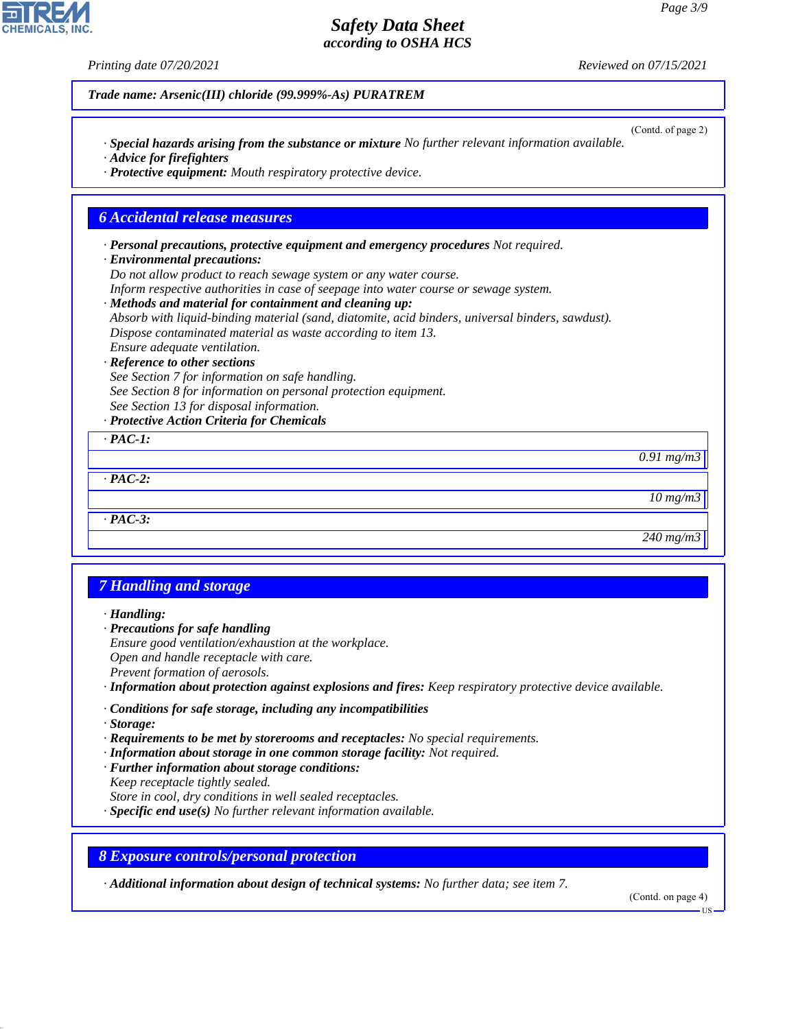*Printing date 07/20/2021 Reviewed on 07/15/2021 Trade name: Arsenic(III) chloride (99.999%-As) PURATREM* (Contd. of page 2) *· Special hazards arising from the substance or mixture No further relevant information available. · Advice for firefighters · Protective equipment: Mouth respiratory protective device. 6 Accidental release measures · Personal precautions, protective equipment and emergency procedures Not required. · Environmental precautions: Do not allow product to reach sewage system or any water course. Inform respective authorities in case of seepage into water course or sewage system. · Methods and material for containment and cleaning up: Absorb with liquid-binding material (sand, diatomite, acid binders, universal binders, sawdust). Dispose contaminated material as waste according to item 13. Ensure adequate ventilation. · Reference to other sections See Section 7 for information on safe handling. See Section 8 for information on personal protection equipment. See Section 13 for disposal information. · Protective Action Criteria for Chemicals · PAC-1: 0.91 mg/m3 · PAC-2: 10 mg/m3 · PAC-3: 240 mg/m3 7 Handling and storage · Handling: · Precautions for safe handling Ensure good ventilation/exhaustion at the workplace. Open and handle receptacle with care. Prevent formation of aerosols. · Information about protection against explosions and fires: Keep respiratory protective device available. · Conditions for safe storage, including any incompatibilities · Storage: · Requirements to be met by storerooms and receptacles: No special requirements. · Information about storage in one common storage facility: Not required. · Further information about storage conditions:*

*Keep receptacle tightly sealed.*

44.1.1

*Store in cool, dry conditions in well sealed receptacles.*

*· Specific end use(s) No further relevant information available.*

*8 Exposure controls/personal protection*

*· Additional information about design of technical systems: No further data; see item 7.*

(Contd. on page 4)

US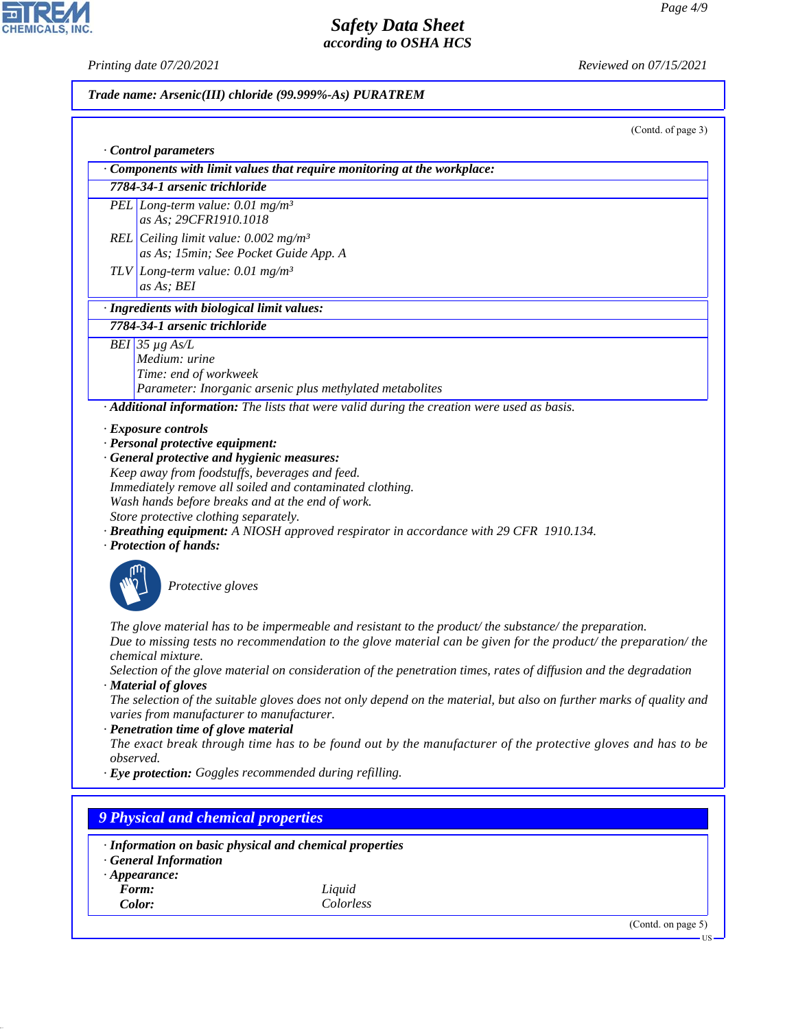CHEMICALS, INC.

*Printing date 07/20/2021 Reviewed on 07/15/2021*

# *Trade name: Arsenic(III) chloride (99.999%-As) PURATREM*

| (Contd. of page 3)                                                                                                                                                                                                                           |
|----------------------------------------------------------------------------------------------------------------------------------------------------------------------------------------------------------------------------------------------|
| Control parameters                                                                                                                                                                                                                           |
| Components with limit values that require monitoring at the workplace:                                                                                                                                                                       |
| 7784-34-1 arsenic trichloride                                                                                                                                                                                                                |
| PEL Long-term value: $0.01 \text{ mg/m}^3$<br>as As; 29CFR1910.1018                                                                                                                                                                          |
| REL Ceiling limit value: $0.002$ mg/m <sup>3</sup>                                                                                                                                                                                           |
| as As; 15min; See Pocket Guide App. A                                                                                                                                                                                                        |
| TLV Long-term value: 0.01 mg/m <sup>3</sup><br>as As; BEI                                                                                                                                                                                    |
| · Ingredients with biological limit values:                                                                                                                                                                                                  |
| 7784-34-1 arsenic trichloride                                                                                                                                                                                                                |
| BEI 35 $\mu$ g As/L                                                                                                                                                                                                                          |
| Medium: urine                                                                                                                                                                                                                                |
| Time: end of workweek                                                                                                                                                                                                                        |
| Parameter: Inorganic arsenic plus methylated metabolites                                                                                                                                                                                     |
| · Additional information: The lists that were valid during the creation were used as basis.                                                                                                                                                  |
| · Exposure controls                                                                                                                                                                                                                          |
| · Personal protective equipment:                                                                                                                                                                                                             |
| · General protective and hygienic measures:                                                                                                                                                                                                  |
| Keep away from foodstuffs, beverages and feed.                                                                                                                                                                                               |
| Immediately remove all soiled and contaminated clothing.                                                                                                                                                                                     |
| Wash hands before breaks and at the end of work.                                                                                                                                                                                             |
| Store protective clothing separately.                                                                                                                                                                                                        |
| <b>· Breathing equipment:</b> A NIOSH approved respirator in accordance with 29 CFR 1910.134.<br>· Protection of hands:                                                                                                                      |
| Protective gloves                                                                                                                                                                                                                            |
| The glove material has to be impermeable and resistant to the product/the substance/the preparation.<br>Due to missing tests no recommendation to the glove material can be given for the product/ the preparation/ the<br>chemical mixture. |
| Selection of the glove material on consideration of the penetration times, rates of diffusion and the degradation<br>· Material of gloves                                                                                                    |
| The selection of the suitable gloves does not only depend on the material, but also on further marks of quality and<br>varies from manufacturer to manufacturer.                                                                             |
| · Penetration time of glove material                                                                                                                                                                                                         |
| The exact break through time has to be found out by the manufacturer of the protective gloves and has to be<br>observed.                                                                                                                     |
| · Eye protection: Goggles recommended during refilling.                                                                                                                                                                                      |
|                                                                                                                                                                                                                                              |
| <b>9 Physical and chemical properties</b>                                                                                                                                                                                                    |
| · Information on basic physical and chemical properties<br><b>General Information</b>                                                                                                                                                        |

*· Appearance:*

44.1.1

- 
- *Form: Liquid Color: Colorless*

(Contd. on page 5) US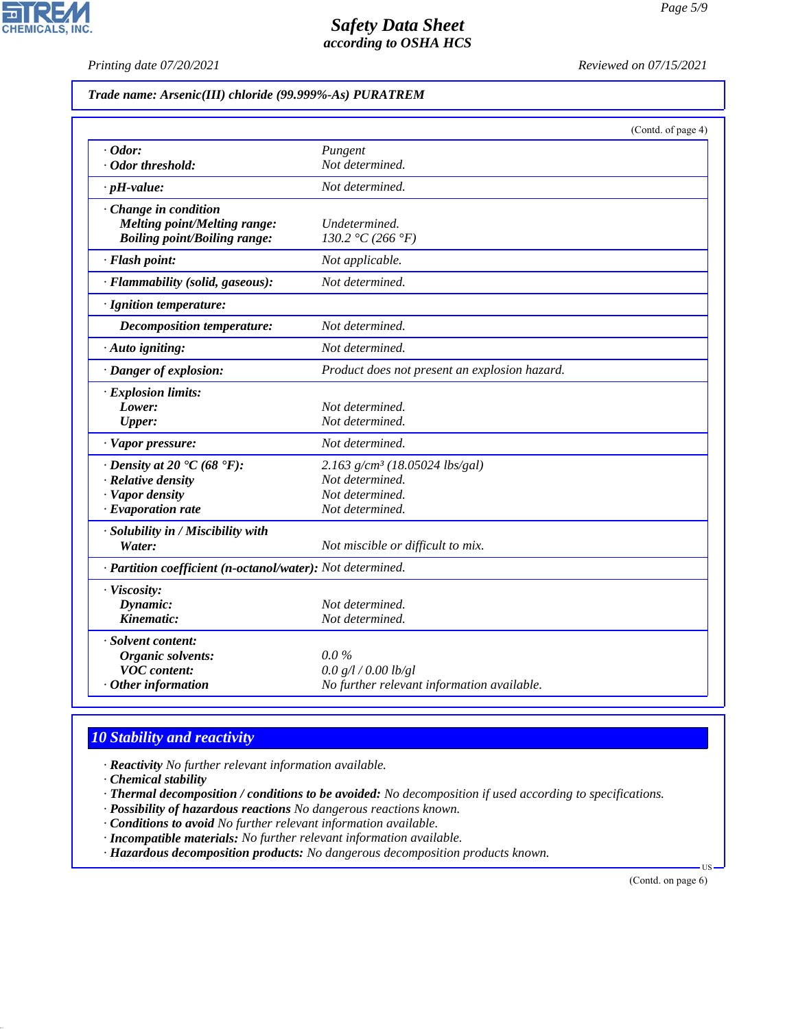**CHEMICALS, INC.** 

*Printing date 07/20/2021 Reviewed on 07/15/2021*

|  |  | Trade name: Arsenic(III) chloride (99.999%-As) PURATREM |
|--|--|---------------------------------------------------------|
|--|--|---------------------------------------------------------|

|                                                            |                                               | (Contd. of page 4) |
|------------------------------------------------------------|-----------------------------------------------|--------------------|
| $\cdot$ Odor:                                              | Pungent                                       |                    |
| · Odor threshold:                                          | Not determined.                               |                    |
| $\cdot$ pH-value:                                          | Not determined.                               |                    |
| Change in condition                                        |                                               |                    |
| Melting point/Melting range:                               | Undetermined.                                 |                    |
| <b>Boiling point/Boiling range:</b>                        | 130.2 °C (266 °F)                             |                    |
| · Flash point:                                             | Not applicable.                               |                    |
| · Flammability (solid, gaseous):                           | Not determined.                               |                    |
| · Ignition temperature:                                    |                                               |                    |
| Decomposition temperature:                                 | Not determined.                               |                    |
| $\cdot$ Auto igniting:                                     | Not determined.                               |                    |
| · Danger of explosion:                                     | Product does not present an explosion hazard. |                    |
| · Explosion limits:                                        |                                               |                    |
| Lower:                                                     | Not determined.                               |                    |
| <b>Upper:</b>                                              | Not determined.                               |                    |
| · Vapor pressure:                                          | Not determined.                               |                    |
| $\cdot$ Density at 20 $\cdot$ C (68 $\cdot$ F):            | $2.163$ g/cm <sup>3</sup> (18.05024 lbs/gal)  |                    |
| · Relative density                                         | Not determined.                               |                    |
| · Vapor density                                            | Not determined.                               |                    |
| $\cdot$ Evaporation rate                                   | Not determined.                               |                    |
| · Solubility in / Miscibility with                         |                                               |                    |
| Water:                                                     | Not miscible or difficult to mix.             |                    |
| · Partition coefficient (n-octanol/water): Not determined. |                                               |                    |
| · Viscosity:                                               |                                               |                    |
| Dynamic:                                                   | Not determined.                               |                    |
| Kinematic:                                                 | Not determined.                               |                    |
| · Solvent content:                                         |                                               |                    |
| Organic solvents:                                          | $0.0\%$                                       |                    |
| <b>VOC</b> content:                                        | 0.0 g/l / 0.00 lb/gl                          |                    |
| $·$ Other information                                      | No further relevant information available.    |                    |

# *10 Stability and reactivity*

*· Reactivity No further relevant information available.*

*· Chemical stability*

44.1.1

*· Thermal decomposition / conditions to be avoided: No decomposition if used according to specifications.*

- *· Possibility of hazardous reactions No dangerous reactions known.*
- *· Conditions to avoid No further relevant information available.*
- *· Incompatible materials: No further relevant information available.*

*· Hazardous decomposition products: No dangerous decomposition products known.*

(Contd. on page 6)

US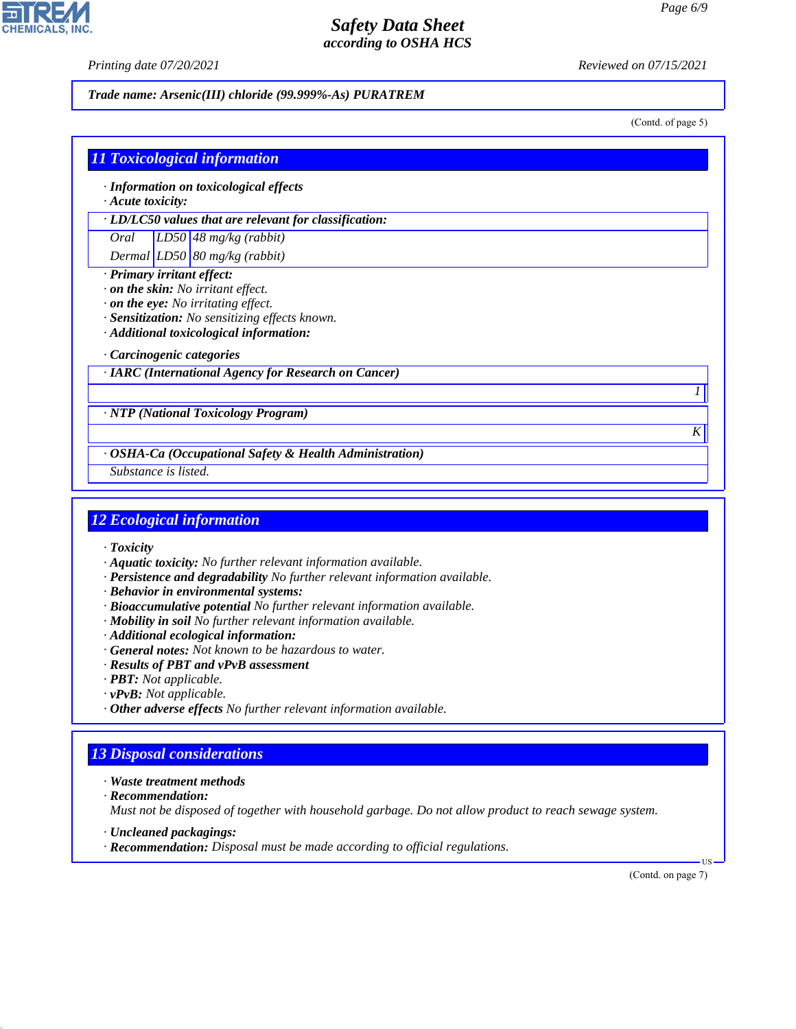**CHEMICALS, INC** 

*Printing date 07/20/2021 Reviewed on 07/15/2021*

*Trade name: Arsenic(III) chloride (99.999%-As) PURATREM*

(Contd. of page 5)

| $\cdot$ Acute toxicity: | · Information on toxicological effects                                                                                                                                             |
|-------------------------|------------------------------------------------------------------------------------------------------------------------------------------------------------------------------------|
|                         | · LD/LC50 values that are relevant for classification:                                                                                                                             |
| Oral                    | $LD50/48$ mg/kg (rabbit)                                                                                                                                                           |
|                         | Dermal $LD50 80$ mg/kg (rabbit)                                                                                                                                                    |
|                         | $\cdot$ on the skin: No irritant effect.<br>$\cdot$ on the eye: No irritating effect.<br>· Sensitization: No sensitizing effects known.<br>· Additional toxicological information: |
|                         |                                                                                                                                                                                    |
|                         | Carcinogenic categories                                                                                                                                                            |
|                         | · IARC (International Agency for Research on Cancer)                                                                                                                               |

*· OSHA-Ca (Occupational Safety & Health Administration)*

*Substance is listed.*

### *12 Ecological information*

- *· Toxicity*
- *· Aquatic toxicity: No further relevant information available.*
- *· Persistence and degradability No further relevant information available.*
- *· Behavior in environmental systems:*
- *· Bioaccumulative potential No further relevant information available.*
- *· Mobility in soil No further relevant information available.*
- *· Additional ecological information:*
- *· General notes: Not known to be hazardous to water.*
- *· Results of PBT and vPvB assessment*
- *· PBT: Not applicable.*
- *· vPvB: Not applicable.*
- *· Other adverse effects No further relevant information available.*

# *13 Disposal considerations*

- *· Waste treatment methods*
- *· Recommendation:*

44.1.1

*Must not be disposed of together with household garbage. Do not allow product to reach sewage system.*

- *· Uncleaned packagings:*
- *· Recommendation: Disposal must be made according to official regulations.*

(Contd. on page 7)

US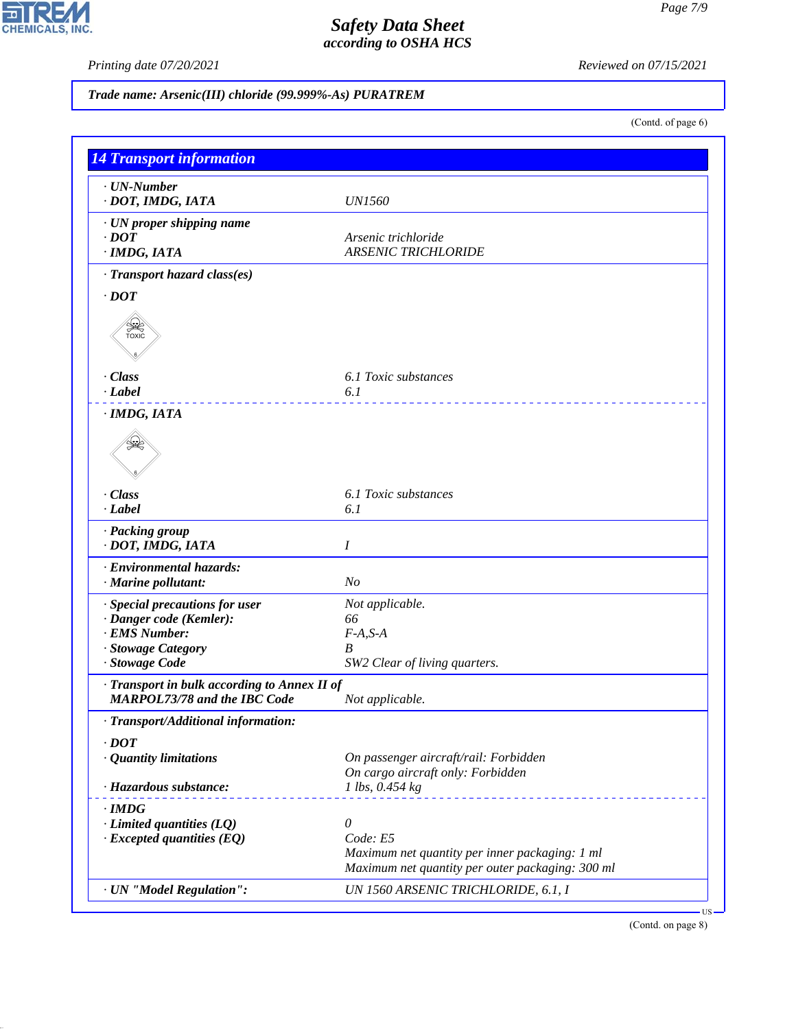44.1.1

# *Safety Data Sheet according to OSHA HCS*

*Printing date 07/20/2021 Reviewed on 07/15/2021*

*Trade name: Arsenic(III) chloride (99.999%-As) PURATREM*

(Contd. of page 6)

| <b>14 Transport information</b>                                                     |                                                      |  |
|-------------------------------------------------------------------------------------|------------------------------------------------------|--|
| · UN-Number                                                                         |                                                      |  |
| · DOT, IMDG, IATA                                                                   | <i>UN1560</i>                                        |  |
| · UN proper shipping name                                                           |                                                      |  |
| $\cdot$ DOT                                                                         | Arsenic trichloride                                  |  |
| · IMDG, IATA                                                                        | <b>ARSENIC TRICHLORIDE</b>                           |  |
| · Transport hazard class(es)                                                        |                                                      |  |
| $\cdot$ DOT                                                                         |                                                      |  |
| ⋟€<br>TOXIC                                                                         |                                                      |  |
| · Class                                                                             | 6.1 Toxic substances                                 |  |
| $\cdot$ <i>Label</i>                                                                | 6.1                                                  |  |
|                                                                                     |                                                      |  |
| · IMDG, IATA                                                                        |                                                      |  |
| ≤₹                                                                                  |                                                      |  |
| · Class                                                                             | 6.1 Toxic substances                                 |  |
| · Label                                                                             | 6.1                                                  |  |
| · Packing group<br>· DOT, IMDG, IATA                                                | I                                                    |  |
| · Environmental hazards:                                                            |                                                      |  |
| · Marine pollutant:                                                                 | N <sub>O</sub>                                       |  |
|                                                                                     |                                                      |  |
| · Special precautions for user<br>· Danger code (Kemler):                           | Not applicable.<br>66                                |  |
| · EMS Number:                                                                       | $F-A, S-A$                                           |  |
| · Stowage Category                                                                  | $\boldsymbol{B}$                                     |  |
| · Stowage Code                                                                      | SW2 Clear of living quarters.                        |  |
| · Transport in bulk according to Annex II of<br><b>MARPOL73/78 and the IBC Code</b> | Not applicable.                                      |  |
|                                                                                     |                                                      |  |
| · Transport/Additional information:                                                 |                                                      |  |
| $\cdot$ DOT                                                                         |                                                      |  |
| · Quantity limitations                                                              | On passenger aircraft/rail: Forbidden                |  |
| · Hazardous substance:                                                              | On cargo aircraft only: Forbidden<br>1 lbs, 0.454 kg |  |
|                                                                                     |                                                      |  |
| $\cdot$ IMDG                                                                        |                                                      |  |
| $\cdot$ Limited quantities (LQ)                                                     | $\theta$                                             |  |
| $\cdot$ Excepted quantities (EQ)                                                    | Code: E5                                             |  |
|                                                                                     | Maximum net quantity per inner packaging: 1 ml       |  |
|                                                                                     | Maximum net quantity per outer packaging: 300 ml     |  |
| · UN "Model Regulation":                                                            | UN 1560 ARSENIC TRICHLORIDE, 6.1, I                  |  |

(Contd. on page 8)

US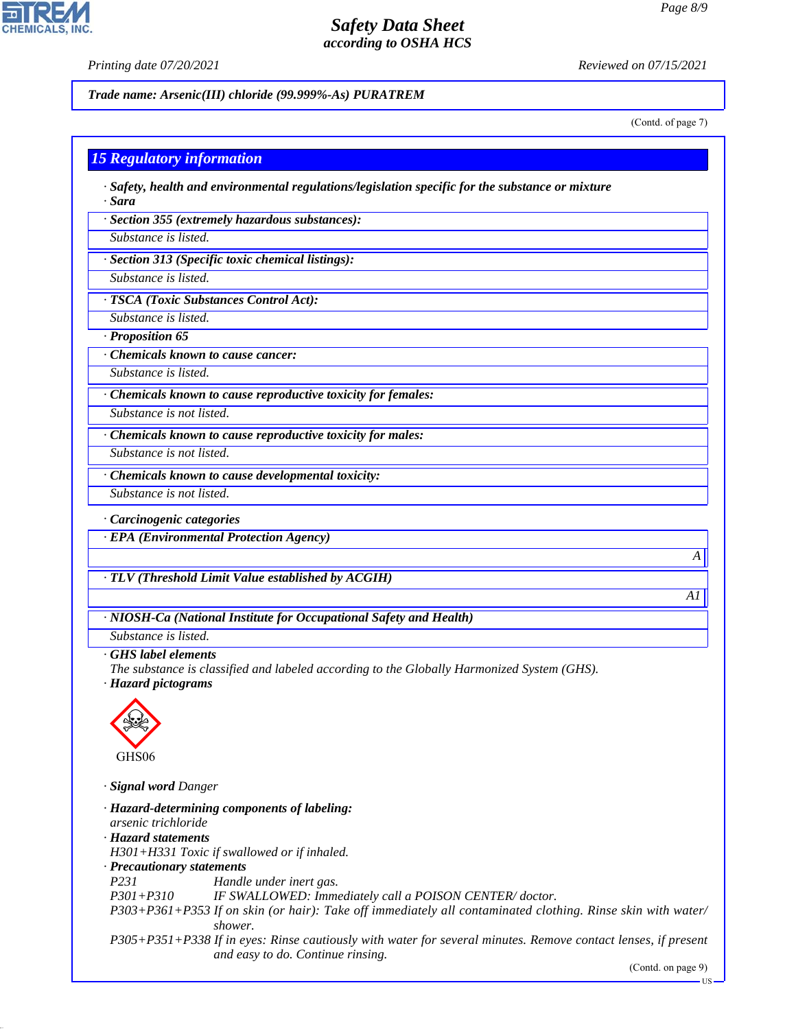**CHEMICALS.** 

*Printing date 07/20/2021 Reviewed on 07/15/2021*

*Trade name: Arsenic(III) chloride (99.999%-As) PURATREM*

(Contd. of page 7)

#### *15 Regulatory information*

*· Safety, health and environmental regulations/legislation specific for the substance or mixture · Sara*

*· Section 355 (extremely hazardous substances):*

*Substance is listed.*

*· Section 313 (Specific toxic chemical listings):*

*Substance is listed.*

*· TSCA (Toxic Substances Control Act):*

*Substance is listed.*

*· Proposition 65*

*· Chemicals known to cause cancer:*

*Substance is listed.*

*· Chemicals known to cause reproductive toxicity for females:*

*Substance is not listed.*

*· Chemicals known to cause reproductive toxicity for males:*

*Substance is not listed.*

*· Chemicals known to cause developmental toxicity:*

*Substance is not listed.*

*· Carcinogenic categories*

*· EPA (Environmental Protection Agency)*

*· TLV (Threshold Limit Value established by ACGIH)*

*· NIOSH-Ca (National Institute for Occupational Safety and Health)*

*Substance is listed.*

*· GHS label elements*

*The substance is classified and labeled according to the Globally Harmonized System (GHS). · Hazard pictograms*



44.1.1

*· Signal word Danger*

*· Hazard-determining components of labeling: arsenic trichloride · Hazard statements H301+H331 Toxic if swallowed or if inhaled. · Precautionary statements P231 Handle under inert gas. P301+P310 IF SWALLOWED: Immediately call a POISON CENTER/ doctor. P303+P361+P353 If on skin (or hair): Take off immediately all contaminated clothing. Rinse skin with water/ shower. P305+P351+P338 If in eyes: Rinse cautiously with water for several minutes. Remove contact lenses, if present and easy to do. Continue rinsing.*

(Contd. on page 9)

*A* 

*A1*